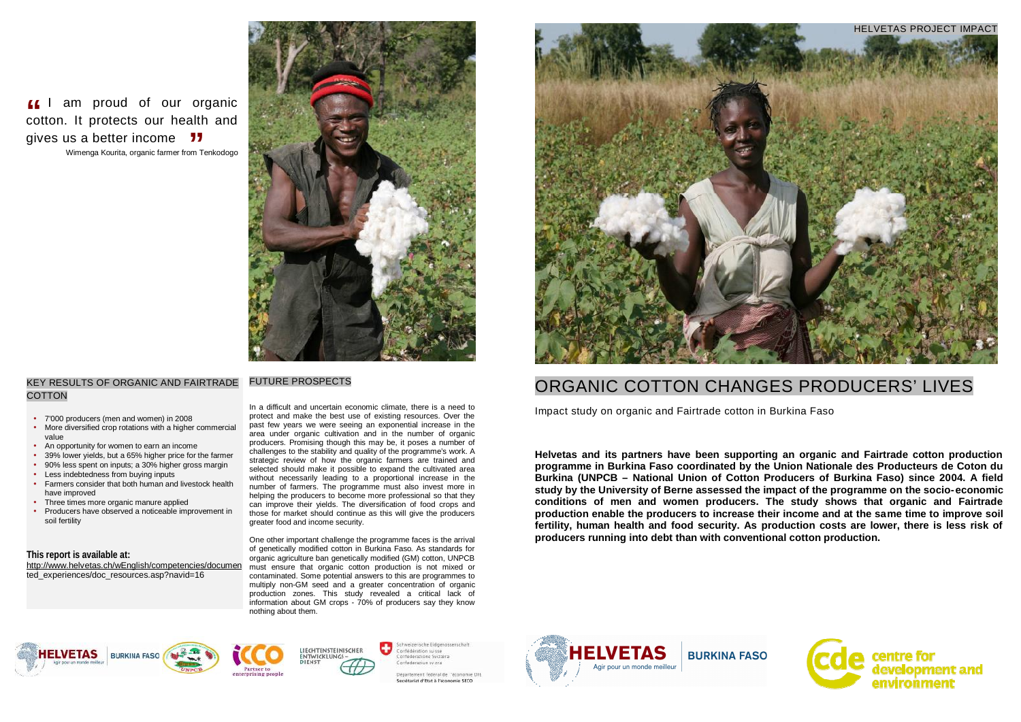# ORGANIC COTTON CHANGES PRODUCERS' LIVES

Impact study on organic and Fairtrade cotton in Burkina Faso

**Helvetas and its partners have been supporting an organic and Fairtrade cotton production programme in Burkina Faso coordinated by the Union Nationale des Producteurs de Coton du Burkina (UNPCB – National Union of Cotton Producers of Burkina Faso) since 2004. A field study by the University of Berne assessed the impact of the programme on the socio-economic conditions of men and women producers. The study shows that organic and Fairtrade production enable the producers to increase their income and at the same time to improve soil fertility, human health and food security. As production costs are lower, there is less risk of producers running into debt than with conventional cotton production.** 







### FUTURE PROSPECTS

# KEY RESULTS OF ORGANIC AND FAIRTRADE **COTTON**

In a difficult and uncertain economic climate, there is a need to protect and make the best use of existing resources. Over the past few years we were seeing an exponential increase in the area under organic cultivation and in the number of organic producers. Promising though this may be, it poses a number of challenges to the stability and quality of the programme's work. A strategic review of how the organic farmers are trained and selected should make it possible to expand the cultivated area without necessarily leading to a proportional increase in the number of farmers. The programme must also invest more in helping the producers to become more professional so that they can improve their yields. The diversification of food crops and those for market should continue as this will give the producers greater food and income security.

One other important challenge the programme faces is the arrival of genetically modified cotton in Burkina Faso. As standards for organic agriculture ban genetically modified (GM) cotton, UNPCB must ensure that organic cotton production is not mixed or contaminated. Some potential answers to this are programmes to multiply non-GM seed and a greater concentration of organic production zones. This study revealed a critical lack of information about GM crops - 70% of producers say they know nothing about them.

÷









Confederation suisse onfederazione Svizzera Confederazius sv zra

ent federal de "econs mie OH Secrétarial d'Etat à l'économie SECO

**If** I am proud of our organic **ff** I am proud of our organic cotton. It protects our health and gives us a better income **JJ** alth<br>77

Wimenga Kourita, organic farmer from Tenkodogo



- 7'000 producers (men and women) in 2008
- More diversified crop rotations with a higher commercial value
- An opportunity for women to earn an income
- 39% lower yields, but a 65% higher price for the farmer
- 90% less spent on inputs; a 30% higher gross margin
- Less indebtedness from buying inputs
- Farmers consider that both human and livestock health have improved
- Three times more organic manure applied
- Producers have observed a noticeable improvement in soil fertility

#### **This report is available at:**

<http://www.helvetas.ch/wEnglish/competencies/documen> ted\_experiences/doc\_resources.asp?navid=16